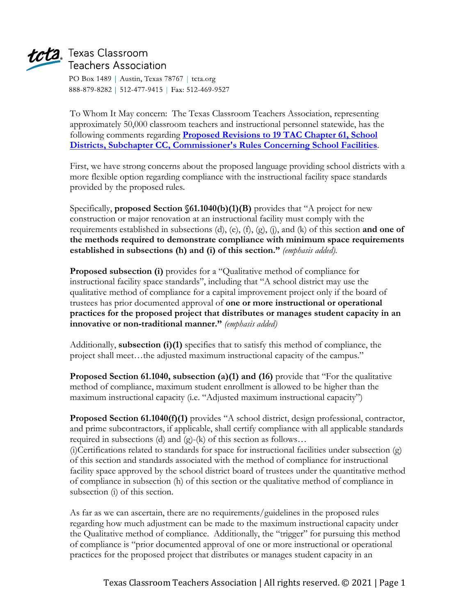

## tcta Texas Classroom **Teachers Association**

PO Box 1489 | Austin, Texas 78767 | tcta.org 888-879-8282 | 512-477-9415 | Fax: 512-469-9527

To Whom It May concern: The Texas Classroom Teachers Association, representing approximately 50,000 classroom teachers and instructional personnel statewide, has the following comments regarding **[Proposed Revisions to 19 TAC Chapter 61, School](https://lnks.gd/l/eyJhbGciOiJIUzI1NiJ9.eyJidWxsZXRpbl9saW5rX2lkIjoxMDAsInVyaSI6ImJwMjpjbGljayIsImJ1bGxldGluX2lkIjoiMjAyMDA1MTUuMjE1NzkxODEiLCJ1cmwiOiJodHRwczovL3RlYS50ZXhhcy5nb3Yvc2l0ZXMvZGVmYXVsdC9maWxlcy8yMF8wNV82MWNjLnBkZiJ9.SovZuEz2r9Uv_1_41tZo9fBzz_vrQatcNRRZlLPt3C8/br/78716175879-l)  [Districts, Subchapter CC, Commissioner's Rules Concerning School Facilities](https://lnks.gd/l/eyJhbGciOiJIUzI1NiJ9.eyJidWxsZXRpbl9saW5rX2lkIjoxMDAsInVyaSI6ImJwMjpjbGljayIsImJ1bGxldGluX2lkIjoiMjAyMDA1MTUuMjE1NzkxODEiLCJ1cmwiOiJodHRwczovL3RlYS50ZXhhcy5nb3Yvc2l0ZXMvZGVmYXVsdC9maWxlcy8yMF8wNV82MWNjLnBkZiJ9.SovZuEz2r9Uv_1_41tZo9fBzz_vrQatcNRRZlLPt3C8/br/78716175879-l)**.

First, we have strong concerns about the proposed language providing school districts with a more flexible option regarding compliance with the instructional facility space standards provided by the proposed rules.

Specifically, **proposed Section §61.1040(b)(1)(B)** provides that "A project for new construction or major renovation at an instructional facility must comply with the requirements established in subsections (d), (e), (f), (g), (j), and (k) of this section **and one of the methods required to demonstrate compliance with minimum space requirements established in subsections (h) and (i) of this section."** *(emphasis added).*

**Proposed subsection (i)** provides for a "Qualitative method of compliance for instructional facility space standards", including that "A school district may use the qualitative method of compliance for a capital improvement project only if the board of trustees has prior documented approval of **one or more instructional or operational practices for the proposed project that distributes or manages student capacity in an innovative or non-traditional manner."** *(emphasis added)*

Additionally, **subsection (i)(1)** specifies that to satisfy this method of compliance, the project shall meet…the adjusted maximum instructional capacity of the campus."

**Proposed Section 61.1040, subsection (a)(1) and (16)** provide that "For the qualitative method of compliance, maximum student enrollment is allowed to be higher than the maximum instructional capacity (i.e. "Adjusted maximum instructional capacity")

**Proposed Section 61.1040(f)(1)** provides "A school district, design professional, contractor, and prime subcontractors, if applicable, shall certify compliance with all applicable standards required in subsections (d) and  $(g)-(k)$  of this section as follows...

(i)Certifications related to standards for space for instructional facilities under subsection (g) of this section and standards associated with the method of compliance for instructional facility space approved by the school district board of trustees under the quantitative method of compliance in subsection (h) of this section or the qualitative method of compliance in subsection (i) of this section.

As far as we can ascertain, there are no requirements/guidelines in the proposed rules regarding how much adjustment can be made to the maximum instructional capacity under the Qualitative method of compliance. Additionally, the "trigger" for pursuing this method of compliance is "prior documented approval of one or more instructional or operational practices for the proposed project that distributes or manages student capacity in an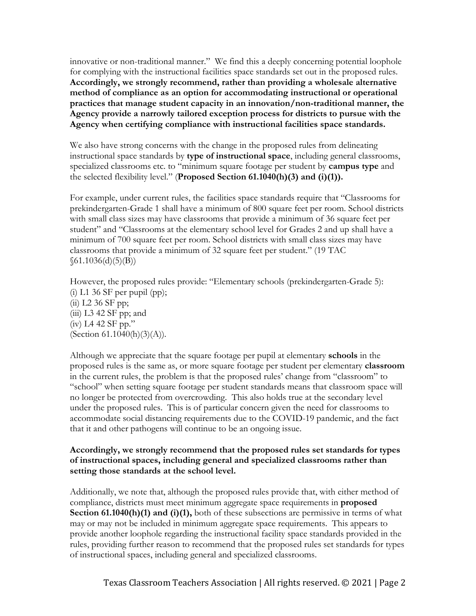innovative or non-traditional manner." We find this a deeply concerning potential loophole for complying with the instructional facilities space standards set out in the proposed rules. **Accordingly, we strongly recommend, rather than providing a wholesale alternative method of compliance as an option for accommodating instructional or operational practices that manage student capacity in an innovation/non-traditional manner, the Agency provide a narrowly tailored exception process for districts to pursue with the Agency when certifying compliance with instructional facilities space standards.**

We also have strong concerns with the change in the proposed rules from delineating instructional space standards by **type of instructional space**, including general classrooms, specialized classrooms etc. to "minimum square footage per student by **campus type** and the selected flexibility level." (**Proposed Section 61.1040(h)(3) and (i)(1)).**

For example, under current rules, the facilities space standards require that "Classrooms for prekindergarten-Grade 1 shall have a minimum of 800 square feet per room. School districts with small class sizes may have classrooms that provide a minimum of 36 square feet per student" and "Classrooms at the elementary school level for Grades 2 and up shall have a minimum of 700 square feet per room. School districts with small class sizes may have classrooms that provide a minimum of 32 square feet per student." (19 TAC  $\{(61.1036(d)(5)(B))\}$ 

However, the proposed rules provide: "Elementary schools (prekindergarten-Grade 5):  $(i)$  L1 36 SF per pupil  $(pp)$ ; (ii) L2 36 SF pp;  $(iii)$  L3 42 SF pp; and (iv) L4 42 SF pp." (Section  $61.1040(h)(3)(A)$ ).

Although we appreciate that the square footage per pupil at elementary **schools** in the proposed rules is the same as, or more square footage per student per elementary **classroom**  in the current rules, the problem is that the proposed rules' change from "classroom" to "school" when setting square footage per student standards means that classroom space will no longer be protected from overcrowding. This also holds true at the secondary level under the proposed rules. This is of particular concern given the need for classrooms to accommodate social distancing requirements due to the COVID-19 pandemic, and the fact that it and other pathogens will continue to be an ongoing issue.

## **Accordingly, we strongly recommend that the proposed rules set standards for types of instructional spaces, including general and specialized classrooms rather than setting those standards at the school level.**

Additionally, we note that, although the proposed rules provide that, with either method of compliance, districts must meet minimum aggregate space requirements in **proposed Section 61.1040(h)(1) and (i)(1),** both of these subsections are permissive in terms of what may or may not be included in minimum aggregate space requirements. This appears to provide another loophole regarding the instructional facility space standards provided in the rules, providing further reason to recommend that the proposed rules set standards for types of instructional spaces, including general and specialized classrooms.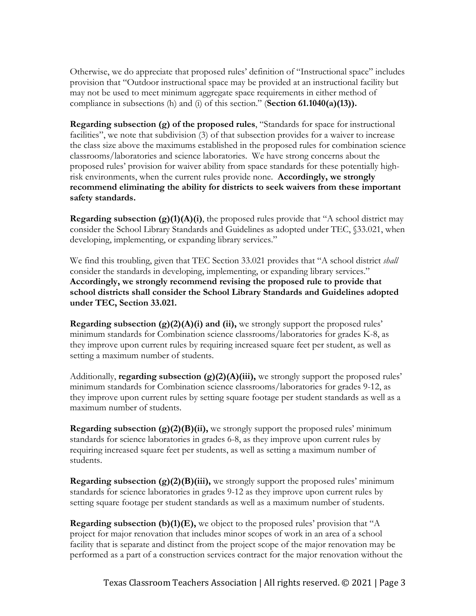Otherwise, we do appreciate that proposed rules' definition of "Instructional space" includes provision that "Outdoor instructional space may be provided at an instructional facility but may not be used to meet minimum aggregate space requirements in either method of compliance in subsections (h) and (i) of this section." (**Section 61.1040(a)(13)).**

**Regarding subsection (g) of the proposed rules**, "Standards for space for instructional facilities", we note that subdivision (3) of that subsection provides for a waiver to increase the class size above the maximums established in the proposed rules for combination science classrooms/laboratories and science laboratories. We have strong concerns about the proposed rules' provision for waiver ability from space standards for these potentially highrisk environments, when the current rules provide none. **Accordingly, we strongly recommend eliminating the ability for districts to seek waivers from these important safety standards.**

**Regarding subsection (g)(1)(A)(i)**, the proposed rules provide that "A school district may consider the School Library Standards and Guidelines as adopted under TEC, §33.021, when developing, implementing, or expanding library services."

We find this troubling, given that TEC Section 33.021 provides that "A school district *shall* consider the standards in developing, implementing, or expanding library services." **Accordingly, we strongly recommend revising the proposed rule to provide that school districts shall consider the School Library Standards and Guidelines adopted under TEC, Section 33.021.**

**Regarding subsection (g)(2)(A)(i) and (ii),** we strongly support the proposed rules' minimum standards for Combination science classrooms/laboratories for grades K-8, as they improve upon current rules by requiring increased square feet per student, as well as setting a maximum number of students.

Additionally, **regarding subsection (g)(2)(A)(iii),** we strongly support the proposed rules' minimum standards for Combination science classrooms/laboratories for grades 9-12, as they improve upon current rules by setting square footage per student standards as well as a maximum number of students.

**Regarding subsection (g)(2)(B)(ii),** we strongly support the proposed rules' minimum standards for science laboratories in grades 6-8, as they improve upon current rules by requiring increased square feet per students, as well as setting a maximum number of students.

**Regarding subsection (g)(2)(B)(iii),** we strongly support the proposed rules' minimum standards for science laboratories in grades 9-12 as they improve upon current rules by setting square footage per student standards as well as a maximum number of students.

**Regarding subsection (b)(1)(E),** we object to the proposed rules' provision that "A project for major renovation that includes minor scopes of work in an area of a school facility that is separate and distinct from the project scope of the major renovation may be performed as a part of a construction services contract for the major renovation without the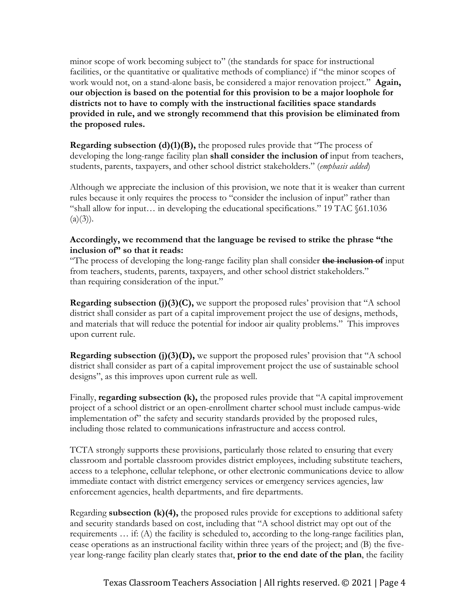minor scope of work becoming subject to" (the standards for space for instructional facilities, or the quantitative or qualitative methods of compliance) if "the minor scopes of work would not, on a stand-alone basis, be considered a major renovation project." **Again, our objection is based on the potential for this provision to be a major loophole for districts not to have to comply with the instructional facilities space standards provided in rule, and we strongly recommend that this provision be eliminated from the proposed rules.**

**Regarding subsection (d)(1)(B),** the proposed rules provide that "The process of developing the long-range facility plan **shall consider the inclusion of** input from teachers, students, parents, taxpayers, and other school district stakeholders." (*emphasis added*)

Although we appreciate the inclusion of this provision, we note that it is weaker than current rules because it only requires the process to "consider the inclusion of input" rather than "shall allow for input… in developing the educational specifications." 19 TAC §61.1036  $(a)(3)$ ).

## **Accordingly, we recommend that the language be revised to strike the phrase "the inclusion of" so that it reads:**

"The process of developing the long-range facility plan shall consider **the inclusion of** input from teachers, students, parents, taxpayers, and other school district stakeholders." than requiring consideration of the input."

**Regarding subsection (j)(3)(C),** we support the proposed rules' provision that "A school district shall consider as part of a capital improvement project the use of designs, methods, and materials that will reduce the potential for indoor air quality problems." This improves upon current rule.

**Regarding subsection (j)(3)(D),** we support the proposed rules' provision that "A school district shall consider as part of a capital improvement project the use of sustainable school designs", as this improves upon current rule as well.

Finally, **regarding subsection (k),** the proposed rules provide that "A capital improvement project of a school district or an open-enrollment charter school must include campus-wide implementation of" the safety and security standards provided by the proposed rules, including those related to communications infrastructure and access control.

TCTA strongly supports these provisions, particularly those related to ensuring that every classroom and portable classroom provides district employees, including substitute teachers, access to a telephone, cellular telephone, or other electronic communications device to allow immediate contact with district emergency services or emergency services agencies, law enforcement agencies, health departments, and fire departments.

Regarding **subsection (k)(4),** the proposed rules provide for exceptions to additional safety and security standards based on cost, including that "A school district may opt out of the requirements … if: (A) the facility is scheduled to, according to the long-range facilities plan, cease operations as an instructional facility within three years of the project; and (B) the fiveyear long-range facility plan clearly states that, **prior to the end date of the plan**, the facility